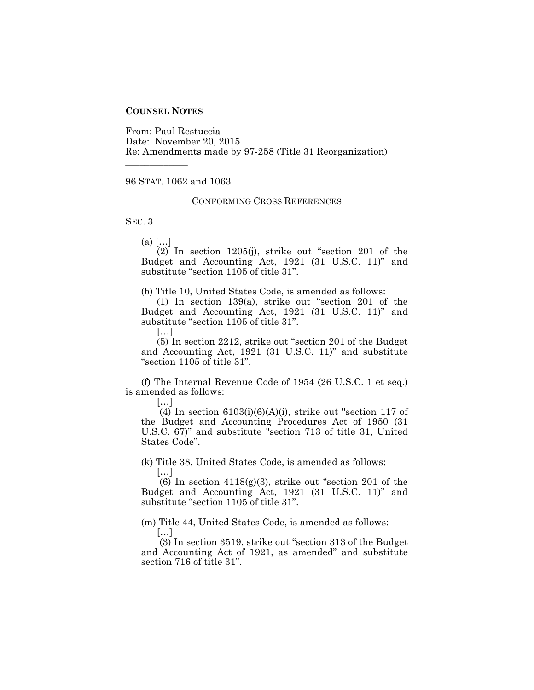## **COUNSEL NOTES**

From: Paul Restuccia Date: November 20, 2015 Re: Amendments made by 97-258 (Title 31 Reorganization)

## 96 STAT. 1062 and 1063

## CONFORMING CROSS REFERENCES

SEC. 3

 $(a)$   $[...]$ 

\_\_\_\_\_\_\_\_\_\_\_\_\_

(2) In section 1205(j), strike out "section 201 of the Budget and Accounting Act, 1921 (31 U.S.C. 11)" and substitute "section 1105 of title 31".

(b) Title 10, United States Code, is amended as follows:

(1) In section 139(a), strike out "section 201 of the Budget and Accounting Act, 1921 (31 U.S.C. 11)" and substitute "section 1105 of title 31".

[…]

(5) In section 2212, strike out "section 201 of the Budget and Accounting Act, 1921 (31 U.S.C. 11)" and substitute "section 1105 of title 31".

(f) The Internal Revenue Code of 1954 (26 U.S.C. 1 et seq.) is amended as follows:

[…]

 $(4)$  In section 6103(i)(6)(A)(i), strike out "section 117 of the Budget and Accounting Procedures Act of 1950 (31 U.S.C. 67)" and substitute "section 713 of title 31, United States Code".

(k) Title 38, United States Code, is amended as follows:

[…]

(6) In section  $4118(g)(3)$ , strike out "section 201 of the Budget and Accounting Act, 1921 (31 U.S.C. 11)" and substitute "section 1105 of title 31".

(m) Title 44, United States Code, is amended as follows:

[…]

(3) In section 3519, strike out "section 313 of the Budget and Accounting Act of 1921, as amended" and substitute section 716 of title 31".